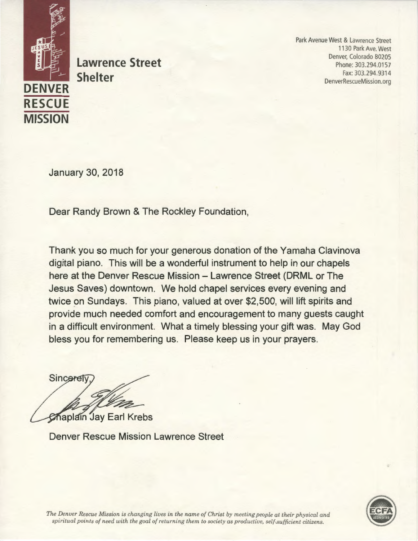

**Lawrence Street Shelter** 

Park Avenue West & Lawrence Street 1130 Park Ave. West Denver, Colorado 80205 Phone: 303.294.0157 Fax: 303.294.9314 DenverRescueMission.org

**January 30, 2018** 

**Dear Randy Brown & The Reckley Foundation,** 

**Thank you so much for your generous donation of the Yamaha Clavinova digital piano. This will be a wonderful instrument to help in our chapels here at the Denver Rescue Mission - Lawrence Street (DRML or The Jesus Saves) downtown. We hold chapel services every evening and**  twice on Sundays. This piano, valued at over \$2,500, will lift spirits and **provide much needed comfort and encouragement to many guests caught in a difficult environment. What a timely blessing your gift was. May God bless you for remembering us. Please keep us in your prayers.** 

**Sincerely** Chaplain Jay Earl Krebs

**Denver Rescue Mission Lawrence Street** 



*The Denver Rescue Mission is changing lives in the name of Christ by meeting people at their physical and spiritual points of need with the goal of returning them to society as productive, self-sufficient citizens.* **•••**<br>spiritual points of need with the goal of returning them to society as productive, self-sufficient citize